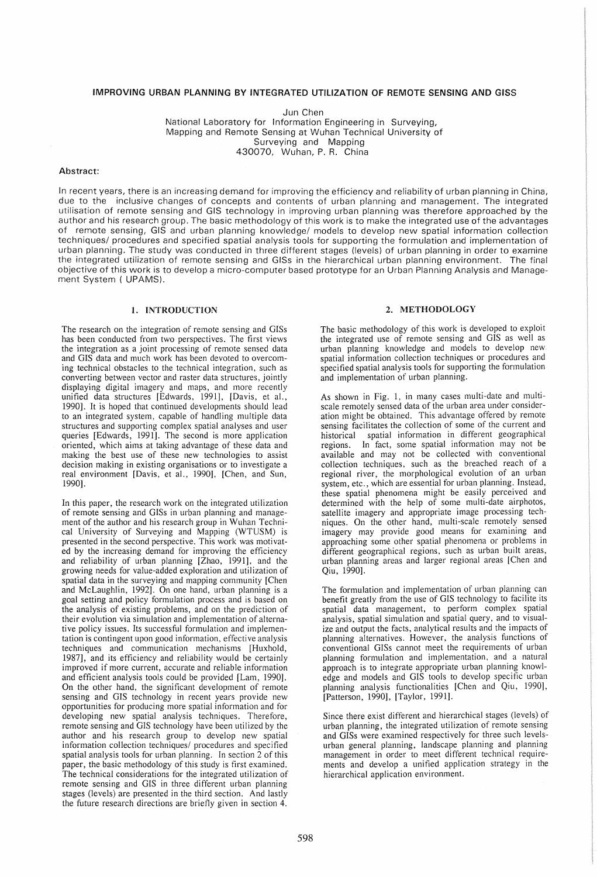## IMPROVING URBAN PLANNING BY INTEGRATED UTILIZATION OF REMOTE SENSING AND GISS

Jun Chen

National Laboratory for Information Engineering in Surveying, Mapping and Remote Sensing at Wuhan Technical University of Surveying and Mapping 430070, Wuhan, P. R. China

# Abstract:

In recent years, there is an increasing demand for improving the efficiency and reliability of urban planning in China, due to the inclusive changes of concepts and contents of urban planning and management. The integrated utilisation of remote sensing and GIS technology in improving urban planning was therefore approached by the author and his research group. The basic methodology of this work is to make the integrated use of the advantages of remote sensing, GIS and urban planning knowledge/ models to develop new spatial information collection techniques/ procedures and specified spatial analysis tools for supporting the formulation and implementation of urban planning. The study was conducted in three different stages (levels) of urban planning in order to examine the integrated utilization of remote sensing and GISs in the hierarchical urban planning environment. The final objective of this work is to develop a micro-computer based prototype for an Urban Planning Analysis and Management System ( UPAMS).

# 1. INTRODUCTION

The research on the integration of remote sensing and GISs has been conducted from two perspectives. The first views the integration as a joint processing of remote sensed data and GIS data and much work has been devoted to overcoming technical obstacles to the technical integration, such as converting between vector and raster data structures, jointly displaying digital imagery and maps, and more recently unified data structures [Edwards, 1991], [Davis, et aI., 1990]. It is hoped that continued developments should lead to an integrated system, capable of handling multiple data structures and supporting complex spatial analyses and user queries [Edwards, 1991J. The second is more application oriented, which aims at taking advantage of these data and making the best use of these new technologies to assist decision making in existing organisations or to investigate a real environment [Davis, et aI., 1990], [Chen, and Sun, 1990].

In this paper, the research work on the integrated utilization of remote sensing and GISs in urban planning and management of the author and his research group in Wuhan Technical University of Surveying and Mapping (WTUSM) is presented in the second perspective. This work was motivated by the increasing demand for improving the efficiency and reliability of urban planning [Zhao, 1991], and the growing needs for value-added exploration and utilization of spatial data in the surveying and mapping community [Chen and McLaughlin, 1992]. On one hand, urban planning is a goal setting and policy formulation process and is based on the analysis of existing problems, and on the prediction of their evolution via simulation and implementation of alternative policy issues. Its successful formulation and implementation is contingent upon good information, effective analysis techniques and communication mechanisms [Huxhold, 1987], and its efficiency and reliability would be certainly improved if more current, accurate and reliable information and efficient analysis tools could be provided [Lam, 1990]. On the other hand, the significant development of remote sensing and GIS technology in recent years provide new opportunities for producing more spatial information and for developing new spatial analysis techniques. Therefore, remote sensing and GIS technology have been utilized by the author and his research group to develop new spatial information collection techniques/ procedures and specified spatial analysis tools for urban planning. In section 2 of this paper, the basic methodology of this study is tirst examined. The technical considerations for the integrated utilization of remote sensing and GIS in three different urban planning stages (levels) are presented in the third section. And lastly the future research directions are briefly given in section 4.

# 2. METHODOLOGY

The basic methodology of this work is developed to exploit the integrated use of remote sensing and GIS as well as urban planning knowledge and models to develop new spatial information collection techniques or procedures and specified spatial analysis tools for supporting the formulation and implementation of urban planning.

As shown in Fig. 1, in many cases multi-date and multiscale remotely sensed data of the urban area under consideration might be obtained. This advantage offered by remote sensing facilitates the collection of some of the current and historical spatial information in different geographical In fact, some spatial information may not be available and may not be collected with conventional collection techniques, such as the breached reach of a regional river, the morphological evolution of an urban system, etc., which are essential for urban planning. Instead, these spatial phenomena might be easily perceived and determined with the help of some multi-date airphotos, satellite imagery and appropriate image processing techniques. On the other hand, multi-scale remotely sensed imagery may provide good means for examining and approaching some other spatial phenomena or problems in different geographical regions, such as urban built areas, urban planning areas and larger regional areas [Chen and Qiu, 1990].

The formulation and implementation of urban planning can benefit greatly from the use of GIS technology to facilite its spatial data management, to perform complex spatial analysis, spatial simulation and spatial query, and to visualize and output the facts, analytical results and the impacts of planning alternatives. However, the analysis functions of conventional GISs cannot meet the requirements of urban planning formulation and implementation, and a natural approach is to integrate appropriate urban planning knowledge and models and GIS tools to develop specific urban planning analysis functionalities [Chen and Qiu, 1990], [Patterson, 1990], [Taylor, 1991].

Since there exist different and hierarchical stages (levels) of urban planning, the integrated utilization of remote sensing and GISs were examined respectively for three such levelsurban general planning, landscape planning and planning management in order to meet different technical requirements and develop a unified application strategy in the hierarchical application environment.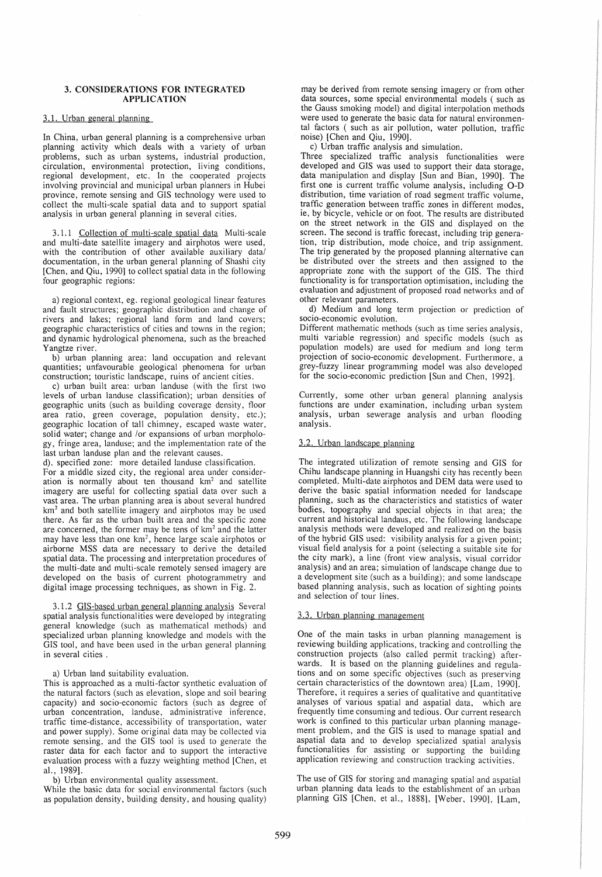## 3. CONSIDERATIONS FOR INTEGRATED APPLICATION

#### 3.1. Urban general planning

In China, urban general planning is a comprehensive urban planning activity which deals with a variety of urban problems, such as urban systems, industrial production, circulation, environmental protection, living conditions, regional development, etc. In the cooperated projects involving provincial and municipal urban planners in Hubei province, remote sensing and GIS technology were used to collect the multi-scale spatial data and to support spatial analysis in urban general planning in several cities.

3.1.1 Collection of multi-scale spatial data Multi-scale and multi-date satellite imagery and airphotos were used, with the contribution of other available auxiliary data/ documentation, in the urban general planning of Shashi city [Chen, and Qiu, 1990] to collect spatial data in the following four geographic regions:

a) regional context, eg. regional geological linear features and fault structures; geographic distribution and change of rivers and Jakes; regional land form and land covers; geographic characteristics of cities and towns in the region; and dynamic hydrological phenomena, such as the breached Yangtze river.

b) urban planning area: land occupation and relevant quantities; unfavourable geological phenomena for urban construction; touristic landscape, ruins of ancient cities.

c) urban built area: urban landuse (with the tirst two levels of urban landuse classification); urban densities of geographic units (such as building coverage density, floor area ratio, green coverage, population density, etc.); geographic location of tall chimney, escaped waste water, solid water; change and *lor* expansions of urban morphology, fringe area, landuse; and the implementation rate of the last urban landuse plan and the relevant causes.

d). specified zone: more detailed landuse classification. For a middle sized city, the regional area under consideration is normally about ten thousand km<sup>2</sup> and satellite imagery are useful for collecting spatial data over such a vast area. The urban planning area is about several hundred km<sup>2</sup> and both satellite imagery and airphotos may be used there. As far as the urban built area and the specific zone are concerned, the former may be tens of  $km^2$  and the latter may have less than one  $km^2$ , hence large scale airphotos or airborne MSS data are necessary to derive the detailed spatial data. The processing and interpretation procedures of the multi-date and multi-scale remotely sensed imagery are

digital image processing techniques, as shown in Fig. 2. 3.1.2 GIS-based urban general planning analysis Several spatial analysis functionalities were developed by integrating general knowledge (such as mathematical methods) and specialized urban planning knowledge and models with the GIS tool, and have been used in the urban general planning in several cities.

developed on the basis of current photogrammetry and

## a) Urban land suitability evaluation.

This is approached as a multi-factor synthetic evaluation of the natural factors (such as elevation, slope and soil bearing capacity) and socio-economic factors (such as degree of urban concentration, landuse, administrative inference, traffic time-distance, accessibility of transportation, water and power supply). Some original data may be collected via remote sensing, and the GIS tool is used to generate the raster data for each factor and to support the interactive evaluation process with a fuzzy weighting method [Chen, et a!., 1989].

b) Urban environmental quality assessment.

While the basic data for social environmental factors (such as population density, building density, and housing quality)

may be derived from remote sensing imagery or from other data sources, some special environmental models ( such as the Gauss smoking model) and digital interpolation methods were used to generate the basic data for natural environmental factors ( such as air pollution, water pollution, traffic noise) [Chen and Qiu, 1990].

c) Urban traffic analysis and simulation.

Three specialized traffic analysis functionalities were developed and GIS was used to support their data storage, data manipulation and display [Sun and Bian, 1990]. The first one is current traffic volume analysis, including O-D distribution, time variation of road segment traffic volume, traffic generation between traffic zones in different modes, ie, by bicycle, vehicle or on foot. The results are distributed on the street network in the GIS and displayed on the screen. The second is traffic forecast, including trip generation, trip distribution, mode choice, and trip assignment. The trip generated by the proposed planning alternative can be distributed over the streets and then assigned to the appropriate zone with the support of the GIS. The third functionality is for transportation optimisation, including the evaluation and adjustment of proposed road networks and of other relevant parameters.

d) Medium and long term projection or prediction of socio-economic evolution.

Different mathematic methods (such as time series analysis, multi variable regression) and specific models (such as population models) are used for medium and long term projection of socio-economic development. Furthermore, a grey-fuzzy linear programming model was also developed for the socio-economic prediction [Sun and Chen, 1992].

Currently, some other urban general planning analysis functions are under examination, including urban system analysis, urban sewerage analysis and urban flooding analysis.

# 3.2. Urban landscape planning

The integrated utilization of remote sensing and GIS for Chihu landscape planning in Huangshi city has recently been completed. Multi-date airphotos and DEM data were used to derive the basic spatial information needed for landscape planning, such as the characteristics and statistics of water bodies, topography and special objects in that area; the current and historical landaus, etc. The following landscape analysis methods were developed and realized on the basis of the hybrid GIS used: visibility analysis for a given point; visual field analysis for a point (selecting a suitable site for the city mark), a line (front view analysis, visual corridor analysis) and an area; simulation of landscape change due to a development site (such as a building); and some landscape based planning analysis, such as location of sighting points and selection of tour lines.

# 3.3. Urban planning management

One of the main tasks in urban planning management is reviewing building applications, tracking and controlling the construction projects (also called permit tracking) afterwards. It is based on the planning guidelines and regulations and on some specific objectives (such as preserving certain characteristics of the downtown area) [Lam, 1990]. Therefore, it requires a series of qualitative and quantitative analyses of various spatial and aspatial data, which are frequently time consuming and tedious. Our current research work is confined to this particular urban planning management problem, and the GIS is used to manage spatial and aspatial data and to develop specialized spatial analysis functionalities for assisting or supporting the building application reviewing and construction tracking activities.

The use of GIS for storing and managing spatial and aspatial urban planning data leads to the establishment of an urban planning GIS [Chen, et aI., 1888], [Weber, 1990], [Lam,